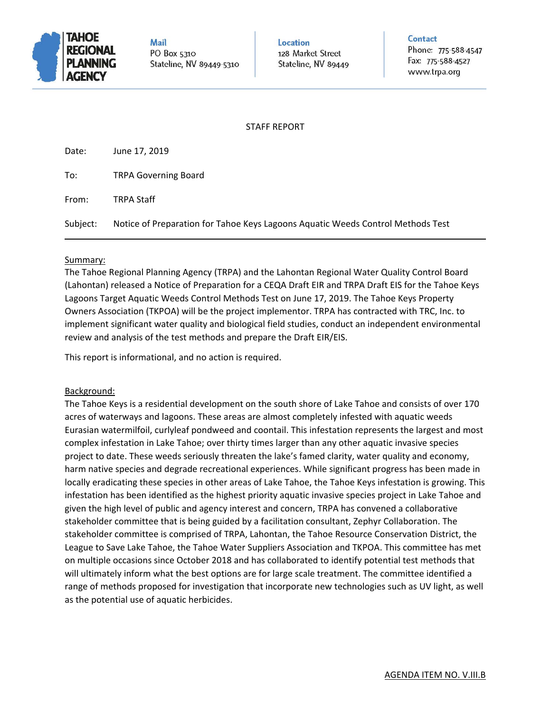

**Mail** PO Box 5310 Stateline, NV 89449-5310 Location 128 Market Street Stateline, NV 89449 Contact

Phone: 775-588-4547 Fax: 775-588-4527 www.trpa.org

# STAFF REPORT

| Date:    | June 17, 2019                                                                   |
|----------|---------------------------------------------------------------------------------|
| To:      | <b>TRPA Governing Board</b>                                                     |
| From:    | <b>TRPA Staff</b>                                                               |
| Subject: | Notice of Preparation for Tahoe Keys Lagoons Aquatic Weeds Control Methods Test |

# Summary:

The Tahoe Regional Planning Agency (TRPA) and the Lahontan Regional Water Quality Control Board (Lahontan) released a Notice of Preparation for a CEQA Draft EIR and TRPA Draft EIS for the Tahoe Keys Lagoons Target Aquatic Weeds Control Methods Test on June 17, 2019. The Tahoe Keys Property Owners Association (TKPOA) will be the project implementor. TRPA has contracted with TRC, Inc. to implement significant water quality and biological field studies, conduct an independent environmental review and analysis of the test methods and prepare the Draft EIR/EIS.

This report is informational, and no action is required.

# Background:

The Tahoe Keys is a residential development on the south shore of Lake Tahoe and consists of over 170 acres of waterways and lagoons. These areas are almost completely infested with aquatic weeds Eurasian watermilfoil, curlyleaf pondweed and coontail. This infestation represents the largest and most complex infestation in Lake Tahoe; over thirty times larger than any other aquatic invasive species project to date. These weeds seriously threaten the lake's famed clarity, water quality and economy, harm native species and degrade recreational experiences. While significant progress has been made in locally eradicating these species in other areas of Lake Tahoe, the Tahoe Keys infestation is growing. This infestation has been identified as the highest priority aquatic invasive species project in Lake Tahoe and given the high level of public and agency interest and concern, TRPA has convened a collaborative stakeholder committee that is being guided by a facilitation consultant, Zephyr Collaboration. The stakeholder committee is comprised of TRPA, Lahontan, the Tahoe Resource Conservation District, the League to Save Lake Tahoe, the Tahoe Water Suppliers Association and TKPOA. This committee has met on multiple occasions since October 2018 and has collaborated to identify potential test methods that will ultimately inform what the best options are for large scale treatment. The committee identified a range of methods proposed for investigation that incorporate new technologies such as UV light, as well as the potential use of aquatic herbicides.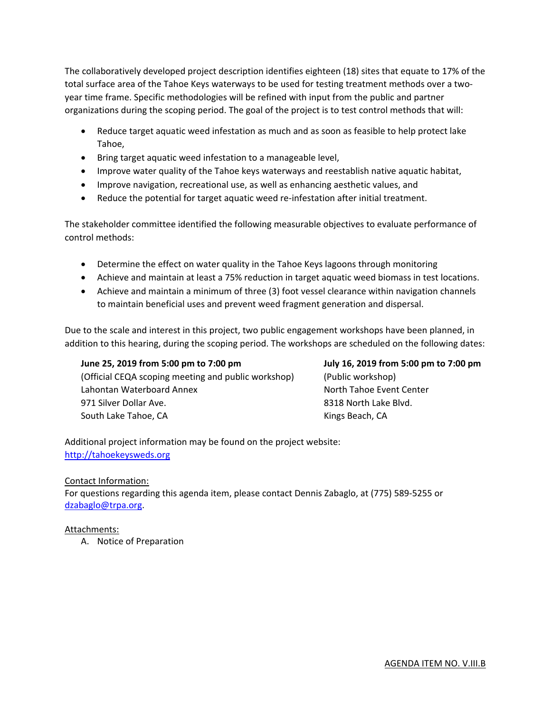The collaboratively developed project description identifies eighteen (18) sites that equate to 17% of the total surface area of the Tahoe Keys waterways to be used for testing treatment methods over a twoyear time frame. Specific methodologies will be refined with input from the public and partner organizations during the scoping period. The goal of the project is to test control methods that will:

- Reduce target aquatic weed infestation as much and as soon as feasible to help protect lake Tahoe,
- Bring target aquatic weed infestation to a manageable level,
- Improve water quality of the Tahoe keys waterways and reestablish native aquatic habitat,
- Improve navigation, recreational use, as well as enhancing aesthetic values, and
- Reduce the potential for target aquatic weed re-infestation after initial treatment.

The stakeholder committee identified the following measurable objectives to evaluate performance of control methods:

- Determine the effect on water quality in the Tahoe Keys lagoons through monitoring
- Achieve and maintain at least a 75% reduction in target aquatic weed biomass in test locations.
- Achieve and maintain a minimum of three (3) foot vessel clearance within navigation channels to maintain beneficial uses and prevent weed fragment generation and dispersal.

Due to the scale and interest in this project, two public engagement workshops have been planned, in addition to this hearing, during the scoping period. The workshops are scheduled on the following dates:

(Official CEQA scoping meeting and public workshop) (Public workshop) Lahontan Waterboard Annex North Tahoe Event Center 971 Silver Dollar Ave. **8318 North Lake Blvd.** South Lake Tahoe, CA Kings Beach, CA

**June 25, 2019 from 5:00 pm to 7:00 pm July 16, 2019 from 5:00 pm to 7:00 pm** 

Additional project information may be found on the project website: http://tahoekeysweds.org

# Contact Information:

For questions regarding this agenda item, please contact Dennis Zabaglo, at (775) 589‐5255 or dzabaglo@trpa.org.

# Attachments:

A. Notice of Preparation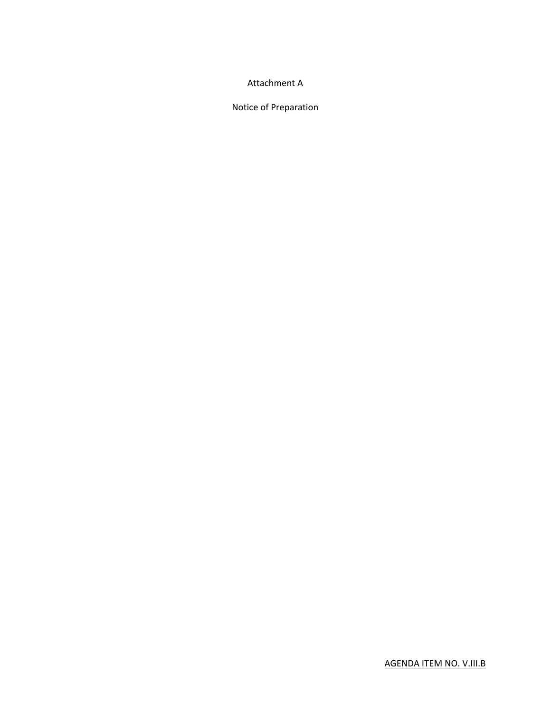# Attachment A

Notice of Preparation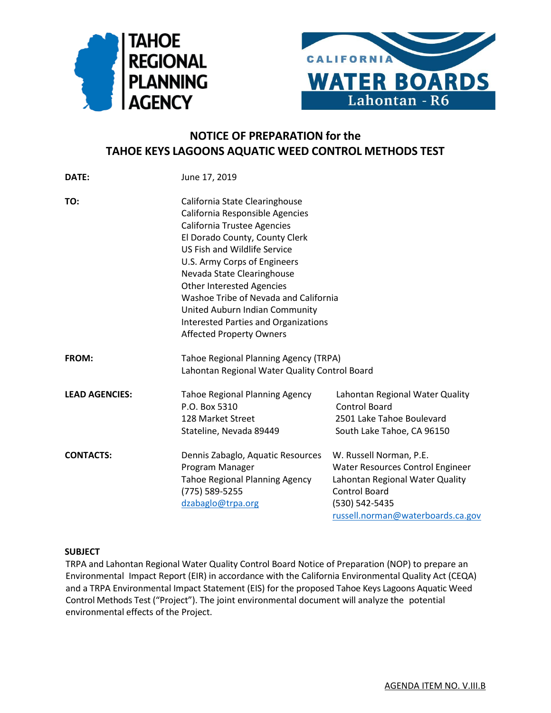



# **NOTICE OF PREPARATION for the TAHOE KEYS LAGOONS AQUATIC WEED CONTROL METHODS TEST**

| DATE:                 | June 17, 2019                                 |                                   |  |  |
|-----------------------|-----------------------------------------------|-----------------------------------|--|--|
| TO:                   | California State Clearinghouse                |                                   |  |  |
|                       | California Responsible Agencies               |                                   |  |  |
|                       | <b>California Trustee Agencies</b>            |                                   |  |  |
|                       | El Dorado County, County Clerk                |                                   |  |  |
|                       | <b>US Fish and Wildlife Service</b>           |                                   |  |  |
|                       | U.S. Army Corps of Engineers                  |                                   |  |  |
|                       | Nevada State Clearinghouse                    |                                   |  |  |
|                       | <b>Other Interested Agencies</b>              |                                   |  |  |
|                       | Washoe Tribe of Nevada and California         |                                   |  |  |
|                       | United Auburn Indian Community                |                                   |  |  |
|                       | <b>Interested Parties and Organizations</b>   |                                   |  |  |
|                       | <b>Affected Property Owners</b>               |                                   |  |  |
| <b>FROM:</b>          | <b>Tahoe Regional Planning Agency (TRPA)</b>  |                                   |  |  |
|                       | Lahontan Regional Water Quality Control Board |                                   |  |  |
| <b>LEAD AGENCIES:</b> | <b>Tahoe Regional Planning Agency</b>         | Lahontan Regional Water Quality   |  |  |
|                       | P.O. Box 5310                                 | <b>Control Board</b>              |  |  |
|                       | 128 Market Street                             | 2501 Lake Tahoe Boulevard         |  |  |
|                       | Stateline, Nevada 89449                       | South Lake Tahoe, CA 96150        |  |  |
| <b>CONTACTS:</b>      | Dennis Zabaglo, Aquatic Resources             | W. Russell Norman, P.E.           |  |  |
|                       | Program Manager                               | Water Resources Control Engineer  |  |  |
|                       | <b>Tahoe Regional Planning Agency</b>         | Lahontan Regional Water Quality   |  |  |
|                       | (775) 589-5255                                | Control Board                     |  |  |
|                       | dzabaglo@trpa.org                             | (530) 542-5435                    |  |  |
|                       |                                               | russell.norman@waterboards.ca.gov |  |  |

# **SUBJECT**

TRPA and Lahontan Regional Water Quality Control Board Notice of Preparation (NOP) to prepare an Environmental Impact Report (EIR) in accordance with the California Environmental Quality Act (CEQA) and a TRPA Environmental Impact Statement (EIS) for the proposed Tahoe Keys Lagoons Aquatic Weed Control Methods Test ("Project"). The joint environmental document will analyze the potential environmental effects of the Project.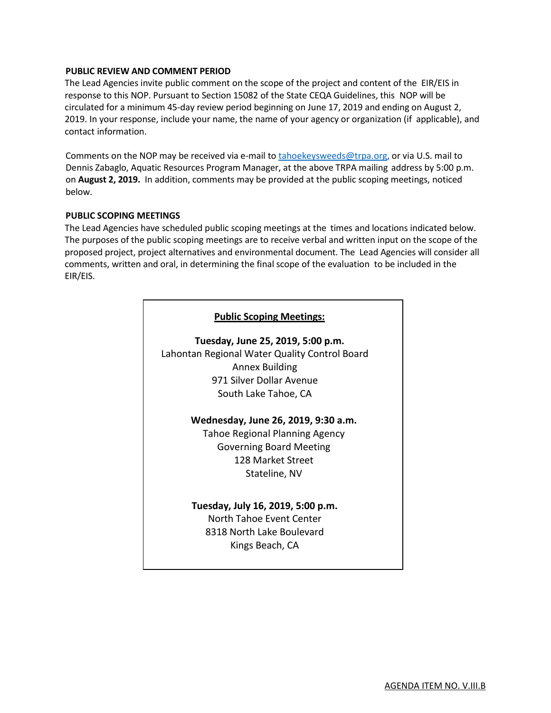# **PUBLIC REVIEW AND COMMENT PERIOD**

The Lead Agencies invite public comment on the scope of the project and content of the EIR/EIS in response to this NOP. Pursuant to Section 15082 of the State CEQA Guidelines, this NOP will be circulated for a minimum 45-day review period beginning on June 17, 2019 and ending on August 2, 2019. In your response, include your name, the name of your agency or organization (if applicable), and contact information.

Comments on the NOP may be received via e-mail t[o tahoekeysweeds@trpa.org,](mailto:tahoekeysweeds@trpa.org) or via U.S. mail to Dennis Zabaglo, Aquatic Resources Program Manager, at the above TRPA mailing address by 5:00 p.m. on **August 2, 2019.** In addition, comments may be provided at the public scoping meetings, noticed below.

### **PUBLIC SCOPING MEETINGS**

The Lead Agencies have scheduled public scoping meetings at the times and locations indicated below. The purposes of the public scoping meetings are to receive verbal and written input on the scope of the proposed project, project alternatives and environmental document. The Lead Agencies will consider all comments, written and oral, in determining the final scope of the evaluation to be included in the EIR/EIS.

| <b>Public Scoping Meetings:</b>               |
|-----------------------------------------------|
| Tuesday, June 25, 2019, 5:00 p.m.             |
| Lahontan Regional Water Quality Control Board |
| <b>Annex Building</b>                         |
| 971 Silver Dollar Avenue                      |
| South Lake Tahoe, CA                          |
| Wednesday, June 26, 2019, 9:30 a.m.           |
| Tahoe Regional Planning Agency                |
| <b>Governing Board Meeting</b>                |
| 128 Market Street                             |
| Stateline, NV                                 |
| Tuesday, July 16, 2019, 5:00 p.m.             |
| North Tahoe Event Center                      |
| 8318 North Lake Boulevard                     |
| Kings Beach, CA                               |
|                                               |